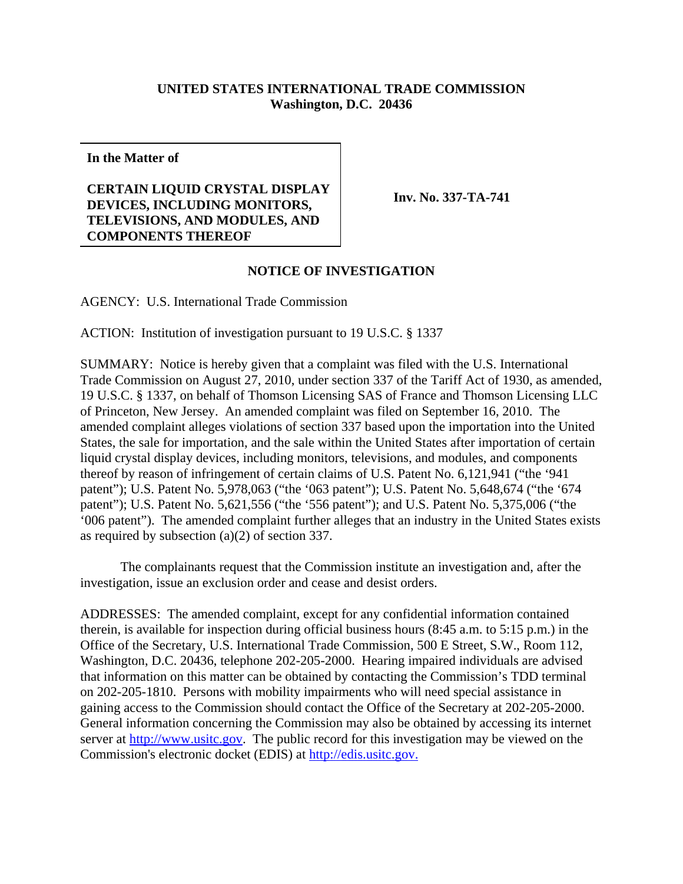## **UNITED STATES INTERNATIONAL TRADE COMMISSION Washington, D.C. 20436**

**In the Matter of**

## **CERTAIN LIQUID CRYSTAL DISPLAY DEVICES, INCLUDING MONITORS, TELEVISIONS, AND MODULES, AND COMPONENTS THEREOF**

**Inv. No. 337-TA-741**

## **NOTICE OF INVESTIGATION**

AGENCY: U.S. International Trade Commission

ACTION: Institution of investigation pursuant to 19 U.S.C. § 1337

SUMMARY: Notice is hereby given that a complaint was filed with the U.S. International Trade Commission on August 27, 2010, under section 337 of the Tariff Act of 1930, as amended, 19 U.S.C. § 1337, on behalf of Thomson Licensing SAS of France and Thomson Licensing LLC of Princeton, New Jersey. An amended complaint was filed on September 16, 2010. The amended complaint alleges violations of section 337 based upon the importation into the United States, the sale for importation, and the sale within the United States after importation of certain liquid crystal display devices, including monitors, televisions, and modules, and components thereof by reason of infringement of certain claims of U.S. Patent No. 6,121,941 ("the '941 patent"); U.S. Patent No. 5,978,063 ("the '063 patent"); U.S. Patent No. 5,648,674 ("the '674 patent"); U.S. Patent No. 5,621,556 ("the '556 patent"); and U.S. Patent No. 5,375,006 ("the '006 patent"). The amended complaint further alleges that an industry in the United States exists as required by subsection (a)(2) of section 337.

The complainants request that the Commission institute an investigation and, after the investigation, issue an exclusion order and cease and desist orders.

ADDRESSES: The amended complaint, except for any confidential information contained therein, is available for inspection during official business hours (8:45 a.m. to 5:15 p.m.) in the Office of the Secretary, U.S. International Trade Commission, 500 E Street, S.W., Room 112, Washington, D.C. 20436, telephone 202-205-2000. Hearing impaired individuals are advised that information on this matter can be obtained by contacting the Commission's TDD terminal on 202-205-1810. Persons with mobility impairments who will need special assistance in gaining access to the Commission should contact the Office of the Secretary at 202-205-2000. General information concerning the Commission may also be obtained by accessing its internet server at http://www.usitc.gov. The public record for this investigation may be viewed on the Commission's electronic docket (EDIS) at http://edis.usitc.gov.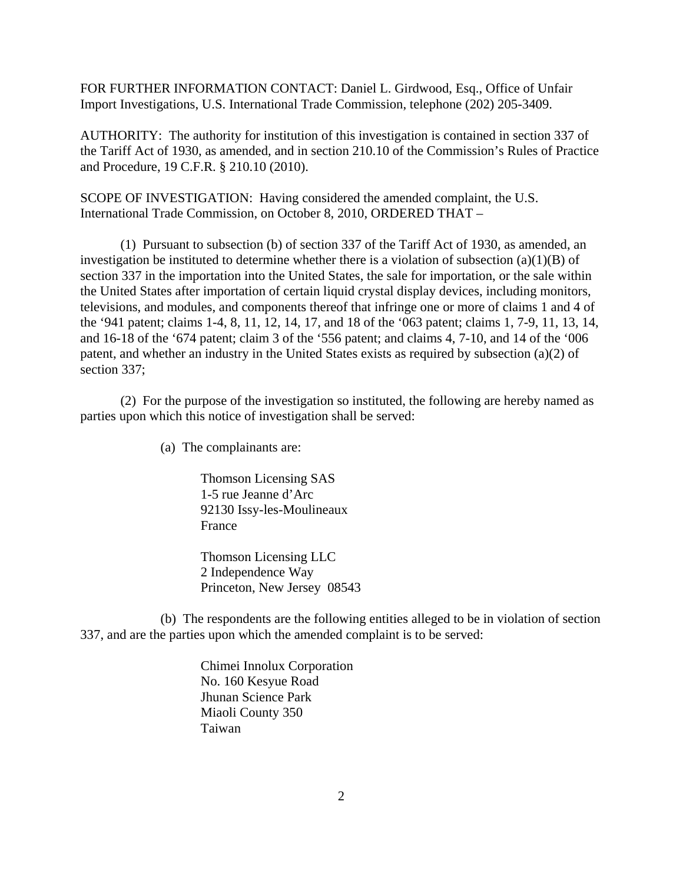FOR FURTHER INFORMATION CONTACT: Daniel L. Girdwood, Esq., Office of Unfair Import Investigations, U.S. International Trade Commission, telephone (202) 205-3409.

AUTHORITY: The authority for institution of this investigation is contained in section 337 of the Tariff Act of 1930, as amended, and in section 210.10 of the Commission's Rules of Practice and Procedure, 19 C.F.R. § 210.10 (2010).

SCOPE OF INVESTIGATION: Having considered the amended complaint, the U.S. International Trade Commission, on October 8, 2010, ORDERED THAT –

(1) Pursuant to subsection (b) of section 337 of the Tariff Act of 1930, as amended, an investigation be instituted to determine whether there is a violation of subsection (a)(1)(B) of section 337 in the importation into the United States, the sale for importation, or the sale within the United States after importation of certain liquid crystal display devices, including monitors, televisions, and modules, and components thereof that infringe one or more of claims 1 and 4 of the '941 patent; claims 1-4, 8, 11, 12, 14, 17, and 18 of the '063 patent; claims 1, 7-9, 11, 13, 14, and 16-18 of the '674 patent; claim 3 of the '556 patent; and claims 4, 7-10, and 14 of the '006 patent, and whether an industry in the United States exists as required by subsection (a)(2) of section 337;

(2) For the purpose of the investigation so instituted, the following are hereby named as parties upon which this notice of investigation shall be served:

(a) The complainants are:

Thomson Licensing SAS 1-5 rue Jeanne d'Arc 92130 Issy-les-Moulineaux France

Thomson Licensing LLC 2 Independence Way Princeton, New Jersey 08543

(b) The respondents are the following entities alleged to be in violation of section 337, and are the parties upon which the amended complaint is to be served:

> Chimei Innolux Corporation No. 160 Kesyue Road Jhunan Science Park Miaoli County 350 Taiwan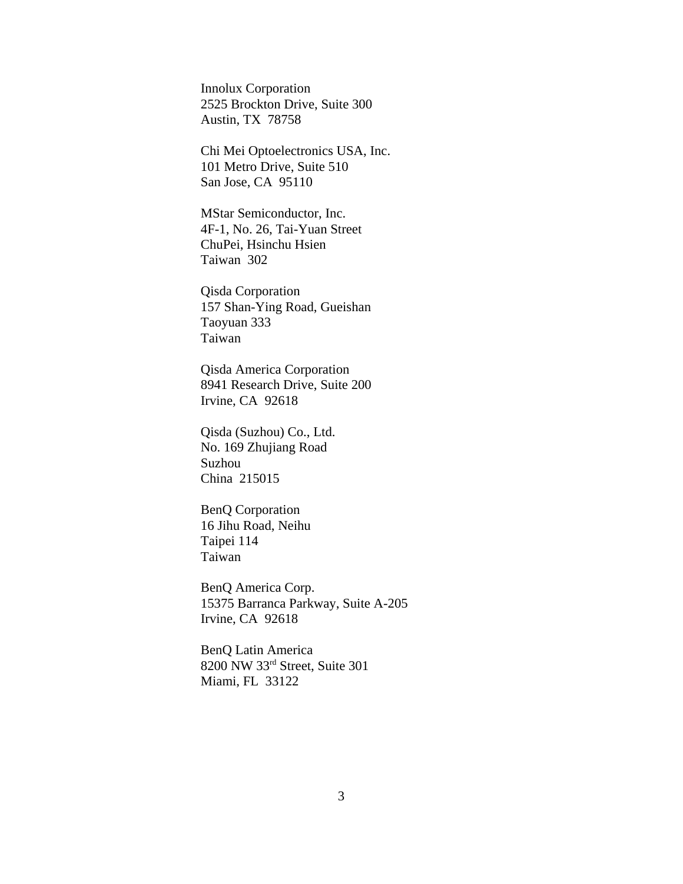Innolux Corporation 2525 Brockton Drive, Suite 300 Austin, TX 78758

Chi Mei Optoelectronics USA, Inc. 101 Metro Drive, Suite 510 San Jose, CA 95110

MStar Semiconductor, Inc. 4F-1, No. 26, Tai-Yuan Street ChuPei, Hsinchu Hsien Taiwan 302

Qisda Corporation 157 Shan-Ying Road, Gueishan Taoyuan 333 Taiwan

Qisda America Corporation 8941 Research Drive, Suite 200 Irvine, CA 92618

Qisda (Suzhou) Co., Ltd. No. 169 Zhujiang Road Suzhou China 215015

BenQ Corporation 16 Jihu Road, Neihu Taipei 114 Taiwan

BenQ America Corp. 15375 Barranca Parkway, Suite A-205 Irvine, CA 92618

BenQ Latin America 8200 NW 33rd Street, Suite 301 Miami, FL 33122